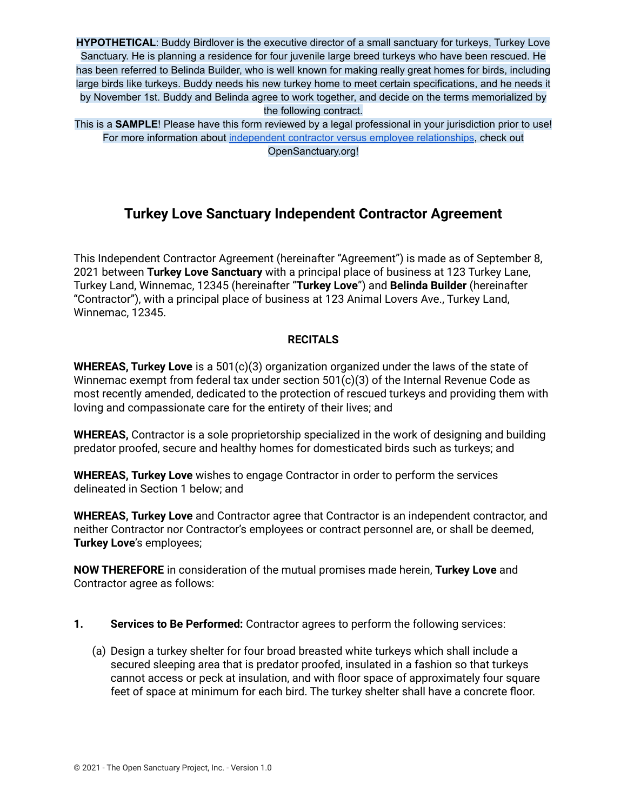**HYPOTHETICAL**: Buddy Birdlover is the executive director of a small sanctuary for turkeys, Turkey Love Sanctuary. He is planning a residence for four juvenile large breed turkeys who have been rescued. He has been referred to Belinda Builder, who is well known for making really great homes for birds, including large birds like turkeys. Buddy needs his new turkey home to meet certain specifications, and he needs it by November 1st. Buddy and Belinda agree to work together, and decide on the terms memorialized by the following contract.

This is a **SAMPLE**! Please have this form reviewed by a legal professional in your jurisdiction prior to use! For more information about independent contractor versus employee [relationships](https://opensanctuary.org/article/independent-contractors-vs-employees-at-your-sanctuary/), check out OpenSanctuary.org!

## **Turkey Love Sanctuary Independent Contractor Agreement**

This Independent Contractor Agreement (hereinafter "Agreement") is made as of September 8, 2021 between **Turkey Love Sanctuary** with a principal place of business at 123 Turkey Lane, Turkey Land, Winnemac, 12345 (hereinafter "**Turkey Love**") and **Belinda Builder** (hereinafter "Contractor"), with a principal place of business at 123 Animal Lovers Ave., Turkey Land, Winnemac, 12345.

#### **RECITALS**

**WHEREAS, Turkey Love** is a 501(c)(3) organization organized under the laws of the state of Winnemac exempt from federal tax under section 501(c)(3) of the Internal Revenue Code as most recently amended, dedicated to the protection of rescued turkeys and providing them with loving and compassionate care for the entirety of their lives; and

**WHEREAS,** Contractor is a sole proprietorship specialized in the work of designing and building predator proofed, secure and healthy homes for domesticated birds such as turkeys; and

**WHEREAS, Turkey Love** wishes to engage Contractor in order to perform the services delineated in Section 1 below; and

**WHEREAS, Turkey Love** and Contractor agree that Contractor is an independent contractor, and neither Contractor nor Contractor's employees or contract personnel are, or shall be deemed, **Turkey Love**'s employees;

**NOW THEREFORE** in consideration of the mutual promises made herein, **Turkey Love** and Contractor agree as follows:

- **1. Services to Be Performed:** Contractor agrees to perform the following services:
	- (a) Design a turkey shelter for four broad breasted white turkeys which shall include a secured sleeping area that is predator proofed, insulated in a fashion so that turkeys cannot access or peck at insulation, and with floor space of approximately four square feet of space at minimum for each bird. The turkey shelter shall have a concrete floor.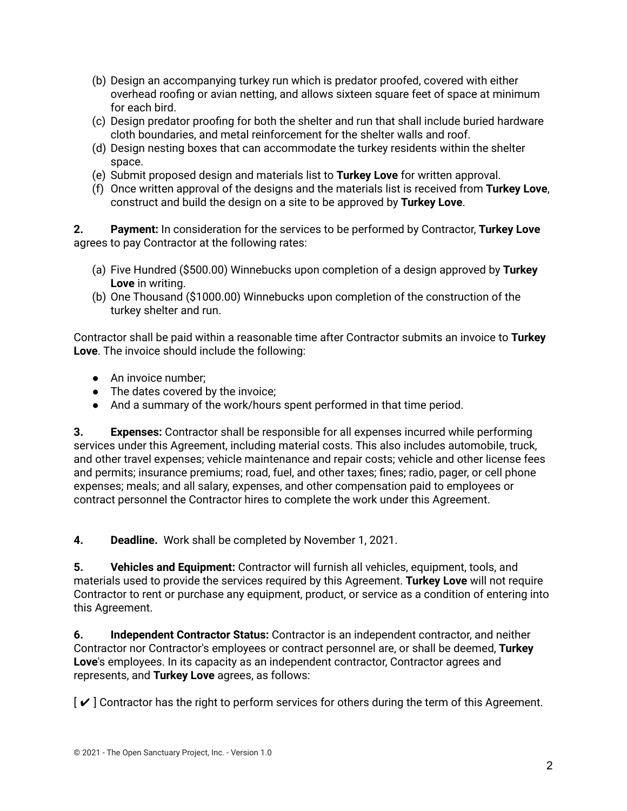- (b) Design an accompanying turkey run which is predator proofed, covered with either overhead roofing or avian netting, and allows sixteen square feet of space at minimum for each bird.
- (c) Design predator proofing for both the shelter and run that shall include buried hardware cloth boundaries, and metal reinforcement for the shelter walls and roof.
- (d) Design nesting boxes that can accommodate the turkey residents within the shelter space.
- (e) Submit proposed design and materials list to **Turkey Love** for written approval.
- (f) Once written approval of the designs and the materials list is received from **Turkey Love**, construct and build the design on a site to be approved by **Turkey Love**.

**2. Payment:** In consideration for the services to be performed by Contractor, **Turkey Love** agrees to pay Contractor at the following rates:

- (a) Five Hundred (\$500.00) Winnebucks upon completion of a design approved by **Turkey Love** in writing.
- (b) One Thousand (\$1000.00) Winnebucks upon completion of the construction of the turkey shelter and run.

Contractor shall be paid within a reasonable time after Contractor submits an invoice to **Turkey Love**. The invoice should include the following:

- An invoice number;
- The dates covered by the invoice:
- And a summary of the work/hours spent performed in that time period.

**3. Expenses:** Contractor shall be responsible for all expenses incurred while performing services under this Agreement, including material costs. This also includes automobile, truck, and other travel expenses; vehicle maintenance and repair costs; vehicle and other license fees and permits; insurance premiums; road, fuel, and other taxes; fines; radio, pager, or cell phone expenses; meals; and all salary, expenses, and other compensation paid to employees or contract personnel the Contractor hires to complete the work under this Agreement.

**4. Deadline.** Work shall be completed by November 1, 2021.

**5. Vehicles and Equipment:** Contractor will furnish all vehicles, equipment, tools, and materials used to provide the services required by this Agreement. **Turkey Love** will not require Contractor to rent or purchase any equipment, product, or service as a condition of entering into this Agreement.

**6. Independent Contractor Status:** Contractor is an independent contractor, and neither Contractor nor Contractor's employees or contract personnel are, or shall be deemed, **Turkey Love**'s employees. In its capacity as an independent contractor, Contractor agrees and represents, and **Turkey Love** agrees, as follows:

 $\mathcal{V}$  Contractor has the right to perform services for others during the term of this Agreement.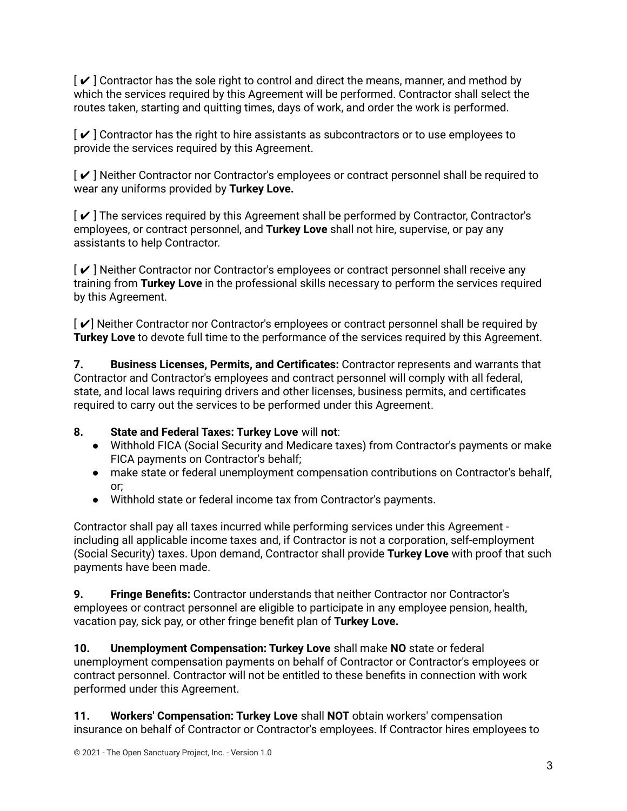$\lceil \boldsymbol{\checkmark} \rceil$  Contractor has the sole right to control and direct the means, manner, and method by which the services required by this Agreement will be performed. Contractor shall select the routes taken, starting and quitting times, days of work, and order the work is performed.

 $\lceil \boldsymbol{\checkmark} \rceil$  Contractor has the right to hire assistants as subcontractors or to use employees to provide the services required by this Agreement.

[ ✔ ] Neither Contractor nor Contractor's employees or contract personnel shall be required to wear any uniforms provided by **Turkey Love.**

 $\mathcal{V}$  The services required by this Agreement shall be performed by Contractor, Contractor's employees, or contract personnel, and **Turkey Love** shall not hire, supervise, or pay any assistants to help Contractor.

[ ✔ ] Neither Contractor nor Contractor's employees or contract personnel shall receive any training from **Turkey Love** in the professional skills necessary to perform the services required by this Agreement.

[ ✔] Neither Contractor nor Contractor's employees or contract personnel shall be required by **Turkey Love** to devote full time to the performance of the services required by this Agreement.

**7. Business Licenses, Permits, and Certificates:** Contractor represents and warrants that Contractor and Contractor's employees and contract personnel will comply with all federal, state, and local laws requiring drivers and other licenses, business permits, and certificates required to carry out the services to be performed under this Agreement.

### **8. State and Federal Taxes: Turkey Love** will **not**:

- Withhold FICA (Social Security and Medicare taxes) from Contractor's payments or make FICA payments on Contractor's behalf;
- make state or federal unemployment compensation contributions on Contractor's behalf, or;
- Withhold state or federal income tax from Contractor's payments.

Contractor shall pay all taxes incurred while performing services under this Agreement including all applicable income taxes and, if Contractor is not a corporation, self-employment (Social Security) taxes. Upon demand, Contractor shall provide **Turkey Love** with proof that such payments have been made.

**9. Fringe Benefits:** Contractor understands that neither Contractor nor Contractor's employees or contract personnel are eligible to participate in any employee pension, health, vacation pay, sick pay, or other fringe benefit plan of **Turkey Love.**

**10. Unemployment Compensation: Turkey Love** shall make **NO** state or federal unemployment compensation payments on behalf of Contractor or Contractor's employees or contract personnel. Contractor will not be entitled to these benefits in connection with work performed under this Agreement.

**11. Workers' Compensation: Turkey Love** shall **NOT** obtain workers' compensation insurance on behalf of Contractor or Contractor's employees. If Contractor hires employees to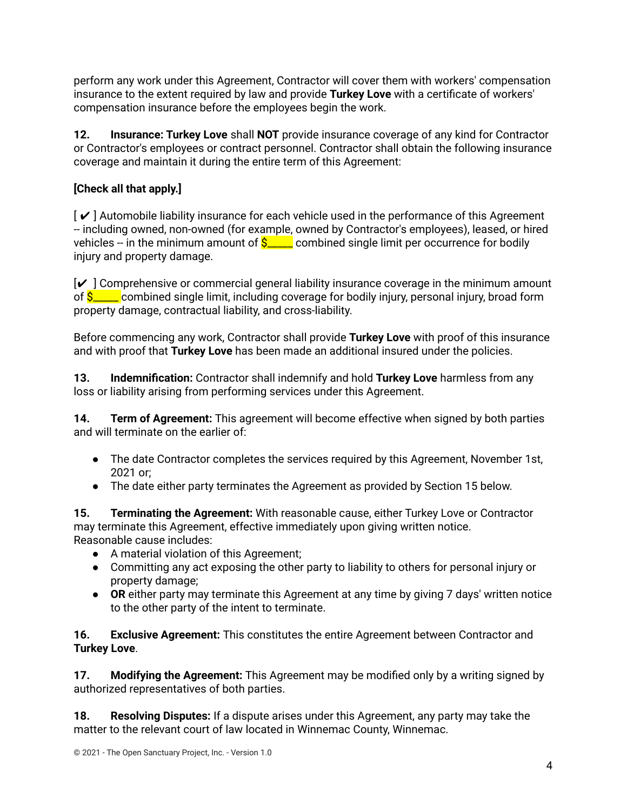perform any work under this Agreement, Contractor will cover them with workers' compensation insurance to the extent required by law and provide **Turkey Love** with a certificate of workers' compensation insurance before the employees begin the work.

**12. Insurance: Turkey Love** shall **NOT** provide insurance coverage of any kind for Contractor or Contractor's employees or contract personnel. Contractor shall obtain the following insurance coverage and maintain it during the entire term of this Agreement:

# **[Check all that apply.]**

 $\mathcal{V}$  Automobile liability insurance for each vehicle used in the performance of this Agreement -- including owned, non-owned (for example, owned by Contractor's employees), leased, or hired vehicles -- in the minimum amount of  $S_{\text{max}}$  combined single limit per occurrence for bodily injury and property damage.

 $\mathcal{V}$  Comprehensive or commercial general liability insurance coverage in the minimum amount of  $\frac{\mathcal{S}_{\text{max}}}{\mathcal{S}_{\text{max}}}$  combined single limit, including coverage for bodily injury, personal injury, broad form property damage, contractual liability, and cross-liability.

Before commencing any work, Contractor shall provide **Turkey Love** with proof of this insurance and with proof that **Turkey Love** has been made an additional insured under the policies.

**13. Indemnification:** Contractor shall indemnify and hold **Turkey Love** harmless from any loss or liability arising from performing services under this Agreement.

**14. Term of Agreement:** This agreement will become effective when signed by both parties and will terminate on the earlier of:

- The date Contractor completes the services required by this Agreement, November 1st, 2021 or;
- The date either party terminates the Agreement as provided by Section 15 below.

**15. Terminating the Agreement:** With reasonable cause, either Turkey Love or Contractor may terminate this Agreement, effective immediately upon giving written notice. Reasonable cause includes:

- A material violation of this Agreement;
- Committing any act exposing the other party to liability to others for personal injury or property damage;
- **OR** either party may terminate this Agreement at any time by giving 7 days' written notice to the other party of the intent to terminate.

**16. Exclusive Agreement:** This constitutes the entire Agreement between Contractor and **Turkey Love**.

**17. Modifying the Agreement:** This Agreement may be modified only by a writing signed by authorized representatives of both parties.

**18. Resolving Disputes:** If a dispute arises under this Agreement, any party may take the matter to the relevant court of law located in Winnemac County, Winnemac.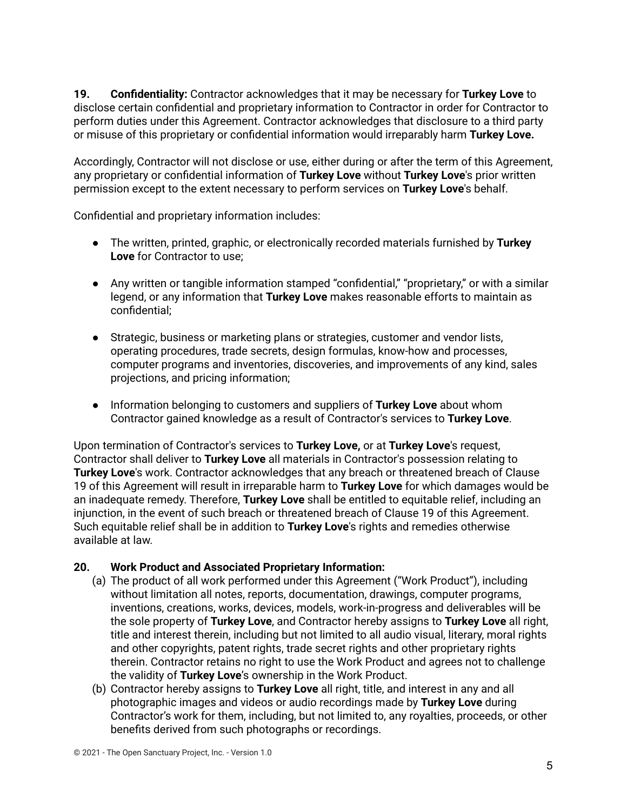**19. Confidentiality:** Contractor acknowledges that it may be necessary for **Turkey Love** to disclose certain confidential and proprietary information to Contractor in order for Contractor to perform duties under this Agreement. Contractor acknowledges that disclosure to a third party or misuse of this proprietary or confidential information would irreparably harm **Turkey Love.**

Accordingly, Contractor will not disclose or use, either during or after the term of this Agreement, any proprietary or confidential information of **Turkey Love** without **Turkey Love**'s prior written permission except to the extent necessary to perform services on **Turkey Love**'s behalf.

Confidential and proprietary information includes:

- The written, printed, graphic, or electronically recorded materials furnished by **Turkey Love** for Contractor to use;
- Any written or tangible information stamped "confidential," "proprietary," or with a similar legend, or any information that **Turkey Love** makes reasonable efforts to maintain as confidential;
- Strategic, business or marketing plans or strategies, customer and vendor lists, operating procedures, trade secrets, design formulas, know-how and processes, computer programs and inventories, discoveries, and improvements of any kind, sales projections, and pricing information;
- Information belonging to customers and suppliers of **Turkey Love** about whom Contractor gained knowledge as a result of Contractor's services to **Turkey Love**.

Upon termination of Contractor's services to **Turkey Love,** or at **Turkey Love**'s request, Contractor shall deliver to **Turkey Love** all materials in Contractor's possession relating to **Turkey Love**'s work. Contractor acknowledges that any breach or threatened breach of Clause 19 of this Agreement will result in irreparable harm to **Turkey Love** for which damages would be an inadequate remedy. Therefore, **Turkey Love** shall be entitled to equitable relief, including an injunction, in the event of such breach or threatened breach of Clause 19 of this Agreement. Such equitable relief shall be in addition to **Turkey Love**'s rights and remedies otherwise available at law.

### **20. Work Product and Associated Proprietary Information:**

- (a) The product of all work performed under this Agreement ("Work Product"), including without limitation all notes, reports, documentation, drawings, computer programs, inventions, creations, works, devices, models, work-in-progress and deliverables will be the sole property of **Turkey Love**, and Contractor hereby assigns to **Turkey Love** all right, title and interest therein, including but not limited to all audio visual, literary, moral rights and other copyrights, patent rights, trade secret rights and other proprietary rights therein. Contractor retains no right to use the Work Product and agrees not to challenge the validity of **Turkey Love**'s ownership in the Work Product.
- (b) Contractor hereby assigns to **Turkey Love** all right, title, and interest in any and all photographic images and videos or audio recordings made by **Turkey Love** during Contractor's work for them, including, but not limited to, any royalties, proceeds, or other benefits derived from such photographs or recordings.